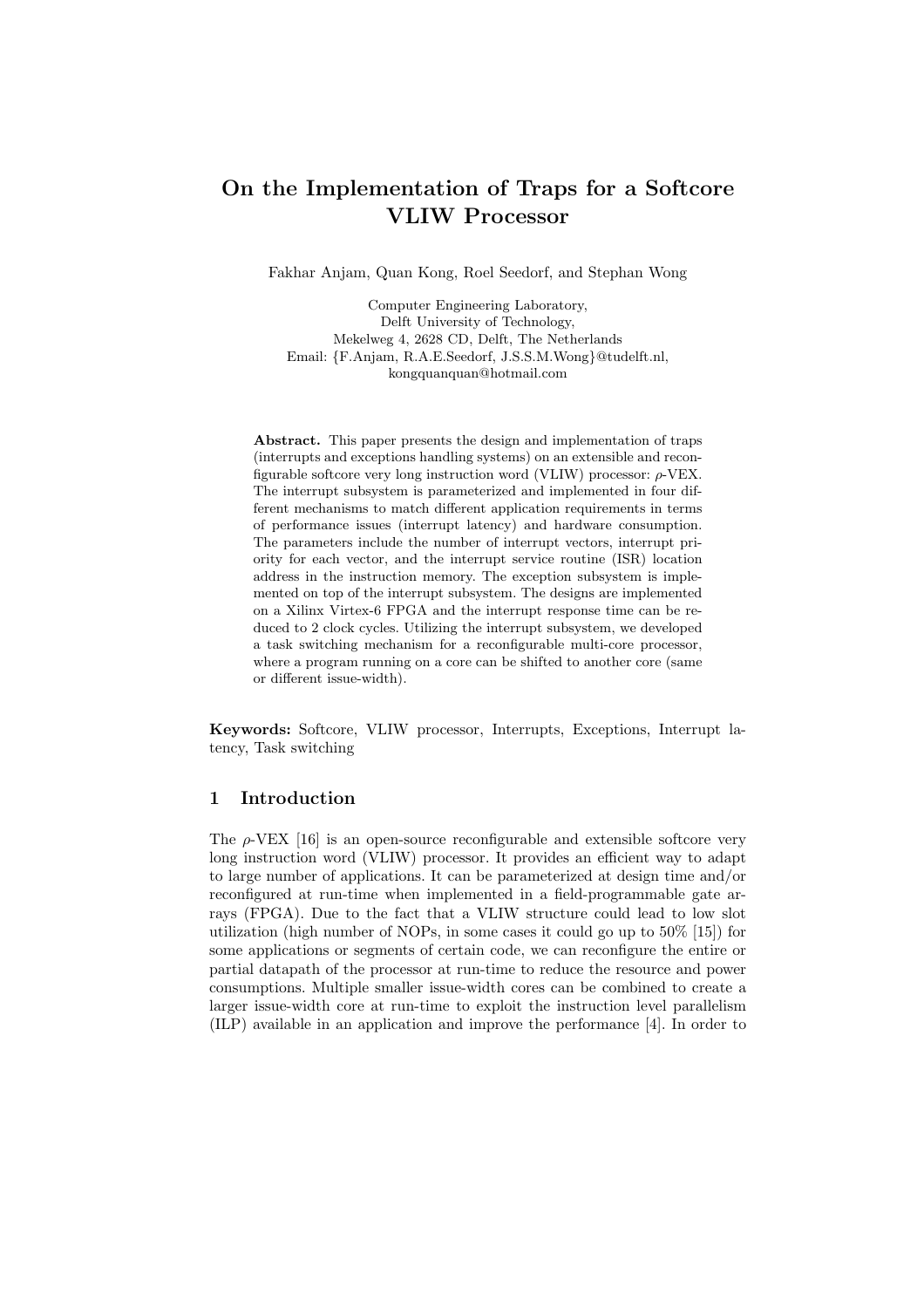# On the Implementation of Traps for a Softcore VLIW Processor

Fakhar Anjam, Quan Kong, Roel Seedorf, and Stephan Wong

Computer Engineering Laboratory, Delft University of Technology, Mekelweg 4, 2628 CD, Delft, The Netherlands Email: {F.Anjam, R.A.E.Seedorf, J.S.S.M.Wong}@tudelft.nl, kongquanquan@hotmail.com

Abstract. This paper presents the design and implementation of traps (interrupts and exceptions handling systems) on an extensible and reconfigurable softcore very long instruction word (VLIW) processor:  $\rho$ -VEX. The interrupt subsystem is parameterized and implemented in four different mechanisms to match different application requirements in terms of performance issues (interrupt latency) and hardware consumption. The parameters include the number of interrupt vectors, interrupt priority for each vector, and the interrupt service routine (ISR) location address in the instruction memory. The exception subsystem is implemented on top of the interrupt subsystem. The designs are implemented on a Xilinx Virtex-6 FPGA and the interrupt response time can be reduced to 2 clock cycles. Utilizing the interrupt subsystem, we developed a task switching mechanism for a reconfigurable multi-core processor, where a program running on a core can be shifted to another core (same or different issue-width).

Keywords: Softcore, VLIW processor, Interrupts, Exceptions, Interrupt latency, Task switching

### 1 Introduction

The  $\rho$ -VEX [16] is an open-source reconfigurable and extensible softcore very long instruction word (VLIW) processor. It provides an efficient way to adapt to large number of applications. It can be parameterized at design time and/or reconfigured at run-time when implemented in a field-programmable gate arrays (FPGA). Due to the fact that a VLIW structure could lead to low slot utilization (high number of NOPs, in some cases it could go up to 50% [15]) for some applications or segments of certain code, we can reconfigure the entire or partial datapath of the processor at run-time to reduce the resource and power consumptions. Multiple smaller issue-width cores can be combined to create a larger issue-width core at run-time to exploit the instruction level parallelism (ILP) available in an application and improve the performance [4]. In order to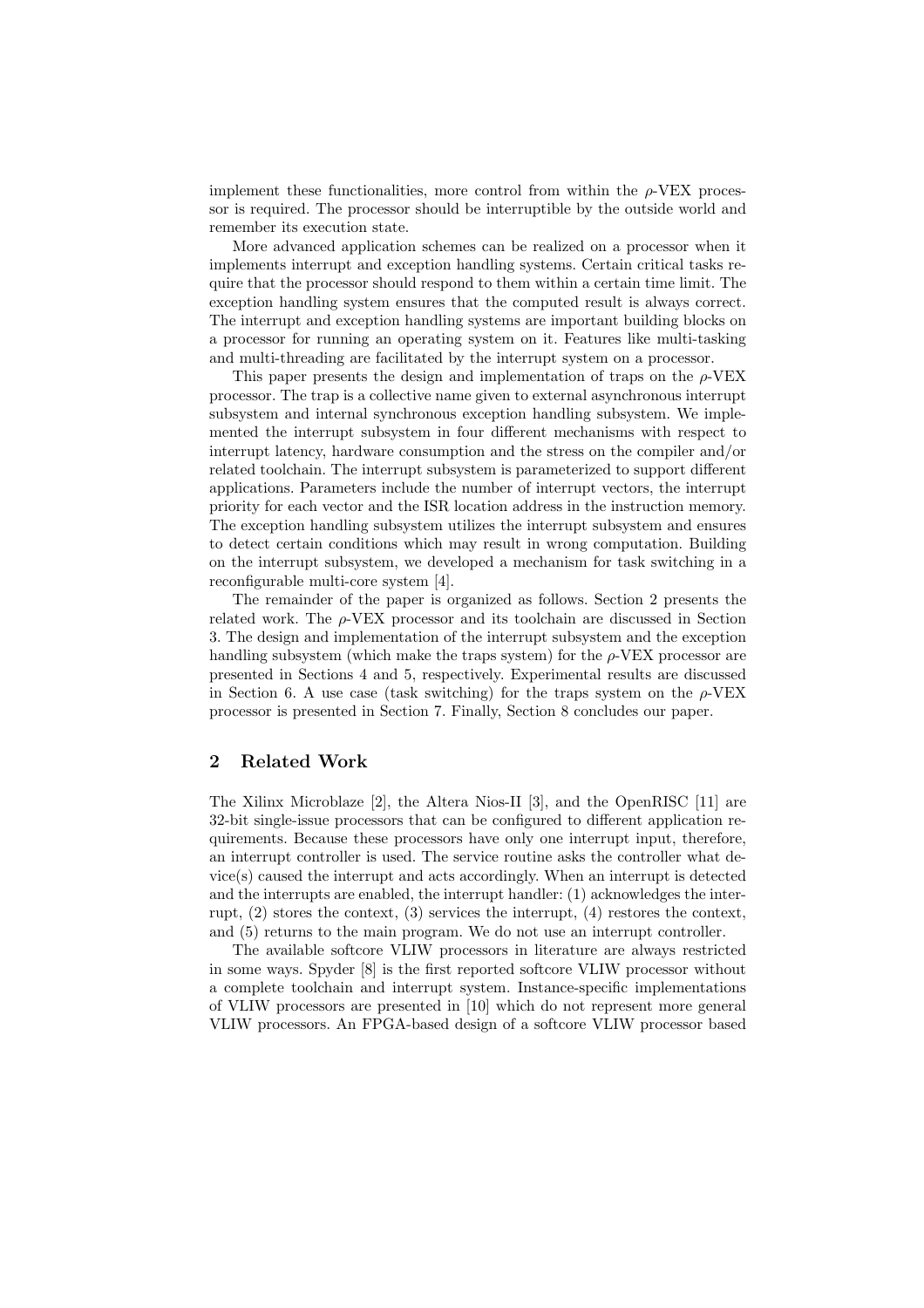implement these functionalities, more control from within the  $\rho$ -VEX processor is required. The processor should be interruptible by the outside world and remember its execution state.

More advanced application schemes can be realized on a processor when it implements interrupt and exception handling systems. Certain critical tasks require that the processor should respond to them within a certain time limit. The exception handling system ensures that the computed result is always correct. The interrupt and exception handling systems are important building blocks on a processor for running an operating system on it. Features like multi-tasking and multi-threading are facilitated by the interrupt system on a processor.

This paper presents the design and implementation of traps on the  $\rho$ -VEX processor. The trap is a collective name given to external asynchronous interrupt subsystem and internal synchronous exception handling subsystem. We implemented the interrupt subsystem in four different mechanisms with respect to interrupt latency, hardware consumption and the stress on the compiler and/or related toolchain. The interrupt subsystem is parameterized to support different applications. Parameters include the number of interrupt vectors, the interrupt priority for each vector and the ISR location address in the instruction memory. The exception handling subsystem utilizes the interrupt subsystem and ensures to detect certain conditions which may result in wrong computation. Building on the interrupt subsystem, we developed a mechanism for task switching in a reconfigurable multi-core system [4].

The remainder of the paper is organized as follows. Section 2 presents the related work. The  $\rho$ -VEX processor and its toolchain are discussed in Section 3. The design and implementation of the interrupt subsystem and the exception handling subsystem (which make the traps system) for the  $\rho$ -VEX processor are presented in Sections 4 and 5, respectively. Experimental results are discussed in Section 6. A use case (task switching) for the traps system on the  $\rho$ -VEX processor is presented in Section 7. Finally, Section 8 concludes our paper.

### 2 Related Work

The Xilinx Microblaze [2], the Altera Nios-II [3], and the OpenRISC [11] are 32-bit single-issue processors that can be configured to different application requirements. Because these processors have only one interrupt input, therefore, an interrupt controller is used. The service routine asks the controller what device(s) caused the interrupt and acts accordingly. When an interrupt is detected and the interrupts are enabled, the interrupt handler: (1) acknowledges the interrupt, (2) stores the context, (3) services the interrupt, (4) restores the context, and (5) returns to the main program. We do not use an interrupt controller.

The available softcore VLIW processors in literature are always restricted in some ways. Spyder [8] is the first reported softcore VLIW processor without a complete toolchain and interrupt system. Instance-specific implementations of VLIW processors are presented in [10] which do not represent more general VLIW processors. An FPGA-based design of a softcore VLIW processor based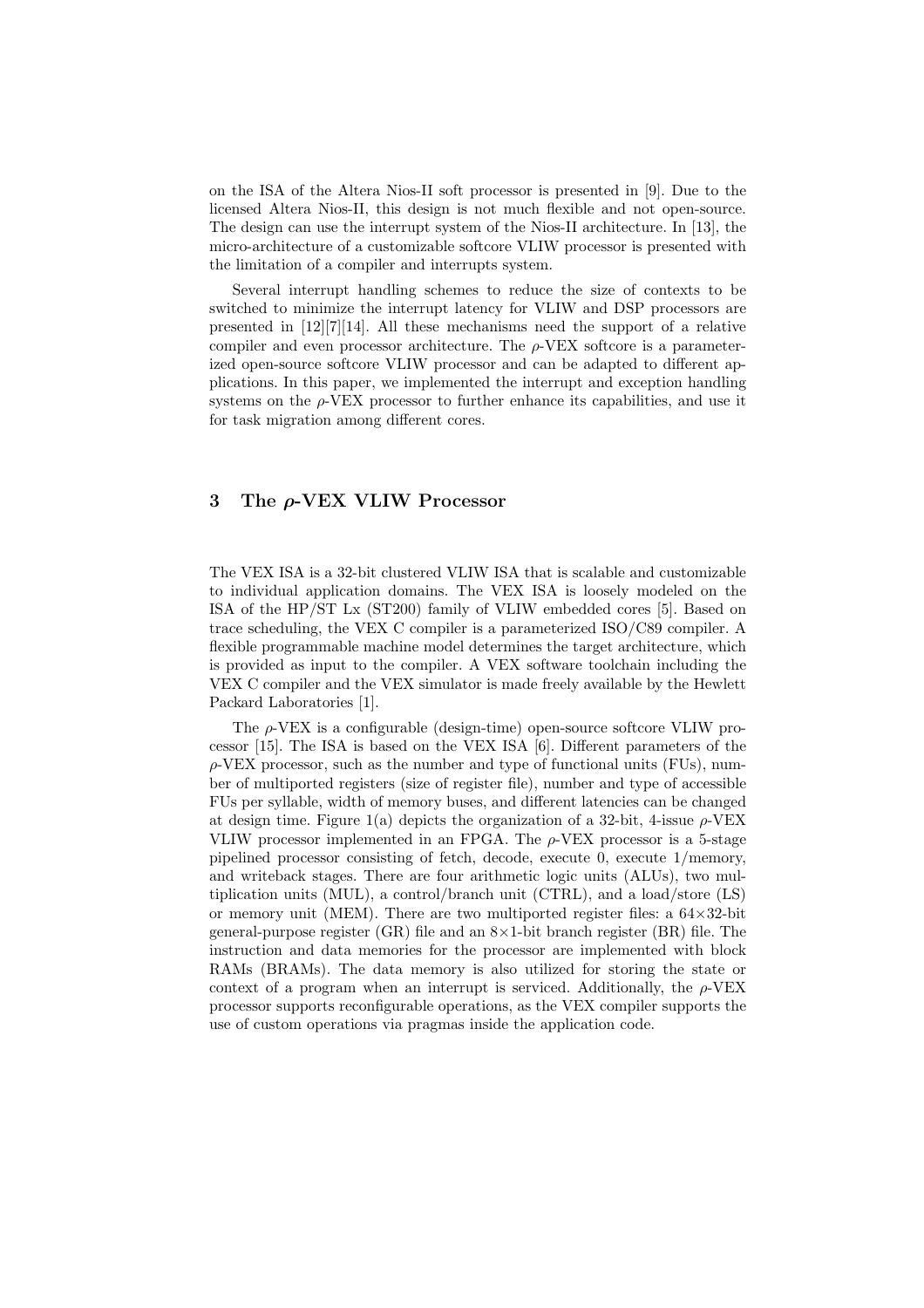on the ISA of the Altera Nios-II soft processor is presented in [9]. Due to the licensed Altera Nios-II, this design is not much flexible and not open-source. The design can use the interrupt system of the Nios-II architecture. In [13], the micro-architecture of a customizable softcore VLIW processor is presented with the limitation of a compiler and interrupts system.

Several interrupt handling schemes to reduce the size of contexts to be switched to minimize the interrupt latency for VLIW and DSP processors are presented in [12][7][14]. All these mechanisms need the support of a relative compiler and even processor architecture. The  $\rho$ -VEX softcore is a parameterized open-source softcore VLIW processor and can be adapted to different applications. In this paper, we implemented the interrupt and exception handling systems on the  $\rho$ -VEX processor to further enhance its capabilities, and use it for task migration among different cores.

### 3 The ρ-VEX VLIW Processor

The VEX ISA is a 32-bit clustered VLIW ISA that is scalable and customizable to individual application domains. The VEX ISA is loosely modeled on the ISA of the HP/ST Lx (ST200) family of VLIW embedded cores [5]. Based on trace scheduling, the VEX C compiler is a parameterized ISO/C89 compiler. A flexible programmable machine model determines the target architecture, which is provided as input to the compiler. A VEX software toolchain including the VEX C compiler and the VEX simulator is made freely available by the Hewlett Packard Laboratories [1].

The  $\rho$ -VEX is a configurable (design-time) open-source softcore VLIW processor [15]. The ISA is based on the VEX ISA [6]. Different parameters of the  $\rho$ -VEX processor, such as the number and type of functional units (FUs), number of multiported registers (size of register file), number and type of accessible FUs per syllable, width of memory buses, and different latencies can be changed at design time. Figure 1(a) depicts the organization of a 32-bit, 4-issue  $\rho$ -VEX VLIW processor implemented in an FPGA. The  $\rho$ -VEX processor is a 5-stage pipelined processor consisting of fetch, decode, execute 0, execute 1/memory, and writeback stages. There are four arithmetic logic units (ALUs), two multiplication units (MUL), a control/branch unit (CTRL), and a load/store (LS) or memory unit (MEM). There are two multiported register files: a  $64\times32$ -bit general-purpose register (GR) file and an  $8\times1$ -bit branch register (BR) file. The instruction and data memories for the processor are implemented with block RAMs (BRAMs). The data memory is also utilized for storing the state or context of a program when an interrupt is serviced. Additionally, the  $\rho$ -VEX processor supports reconfigurable operations, as the VEX compiler supports the use of custom operations via pragmas inside the application code.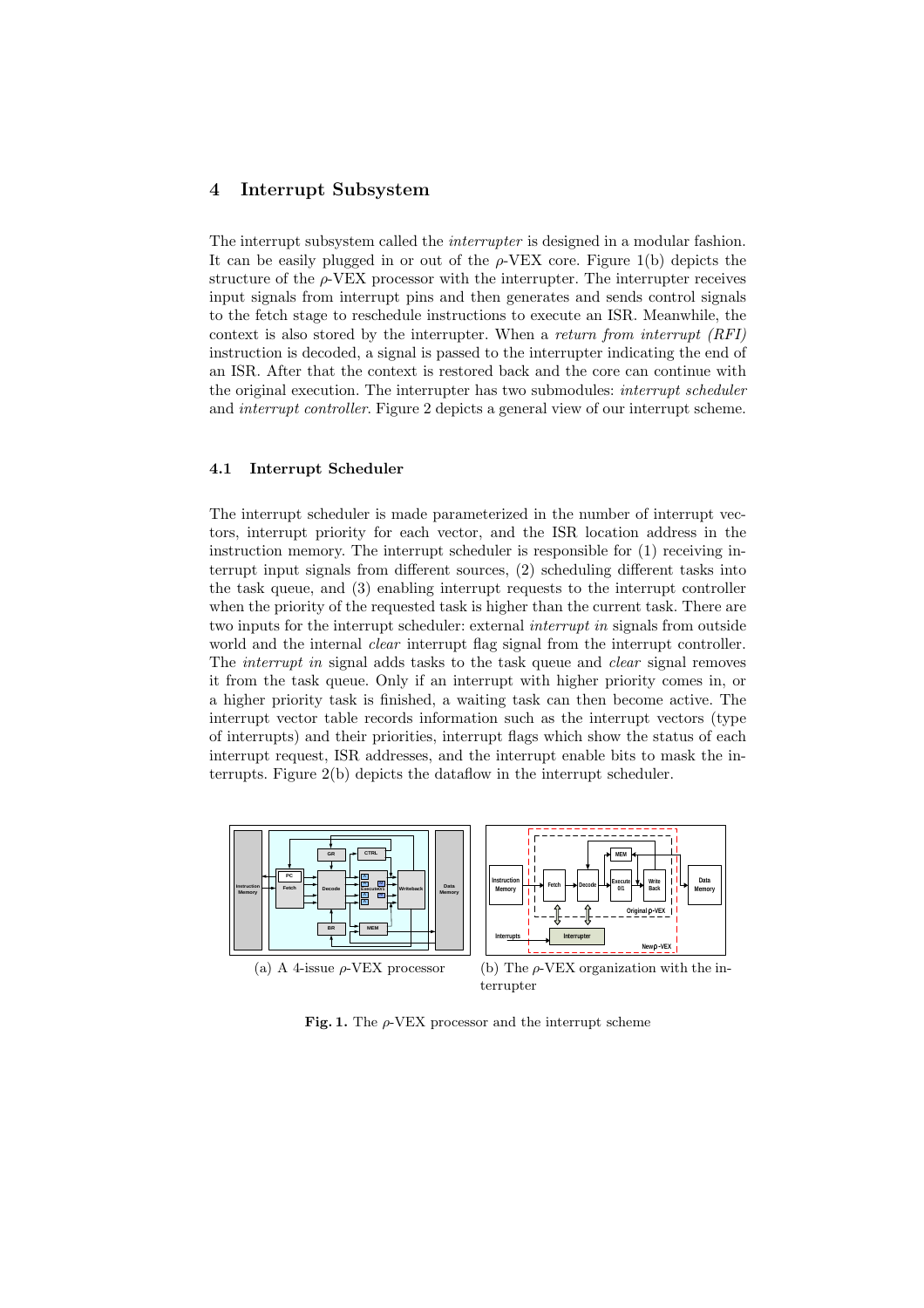### 4 Interrupt Subsystem

The interrupt subsystem called the *interrupter* is designed in a modular fashion. It can be easily plugged in or out of the  $\rho$ -VEX core. Figure 1(b) depicts the structure of the  $\rho$ -VEX processor with the interrupter. The interrupter receives input signals from interrupt pins and then generates and sends control signals to the fetch stage to reschedule instructions to execute an ISR. Meanwhile, the context is also stored by the interrupter. When a return from interrupt (RFI) instruction is decoded, a signal is passed to the interrupter indicating the end of an ISR. After that the context is restored back and the core can continue with the original execution. The interrupter has two submodules: interrupt scheduler and *interrupt controller*. Figure 2 depicts a general view of our interrupt scheme.

#### 4.1 Interrupt Scheduler

The interrupt scheduler is made parameterized in the number of interrupt vectors, interrupt priority for each vector, and the ISR location address in the instruction memory. The interrupt scheduler is responsible for (1) receiving interrupt input signals from different sources, (2) scheduling different tasks into the task queue, and (3) enabling interrupt requests to the interrupt controller when the priority of the requested task is higher than the current task. There are two inputs for the interrupt scheduler: external *interrupt in* signals from outside world and the internal *clear* interrupt flag signal from the interrupt controller. The *interrupt in* signal adds tasks to the task queue and *clear* signal removes it from the task queue. Only if an interrupt with higher priority comes in, or a higher priority task is finished, a waiting task can then become active. The interrupt vector table records information such as the interrupt vectors (type of interrupts) and their priorities, interrupt flags which show the status of each interrupt request, ISR addresses, and the interrupt enable bits to mask the interrupts. Figure 2(b) depicts the dataflow in the interrupt scheduler.



Fig. 1. The  $\rho$ -VEX processor and the interrupt scheme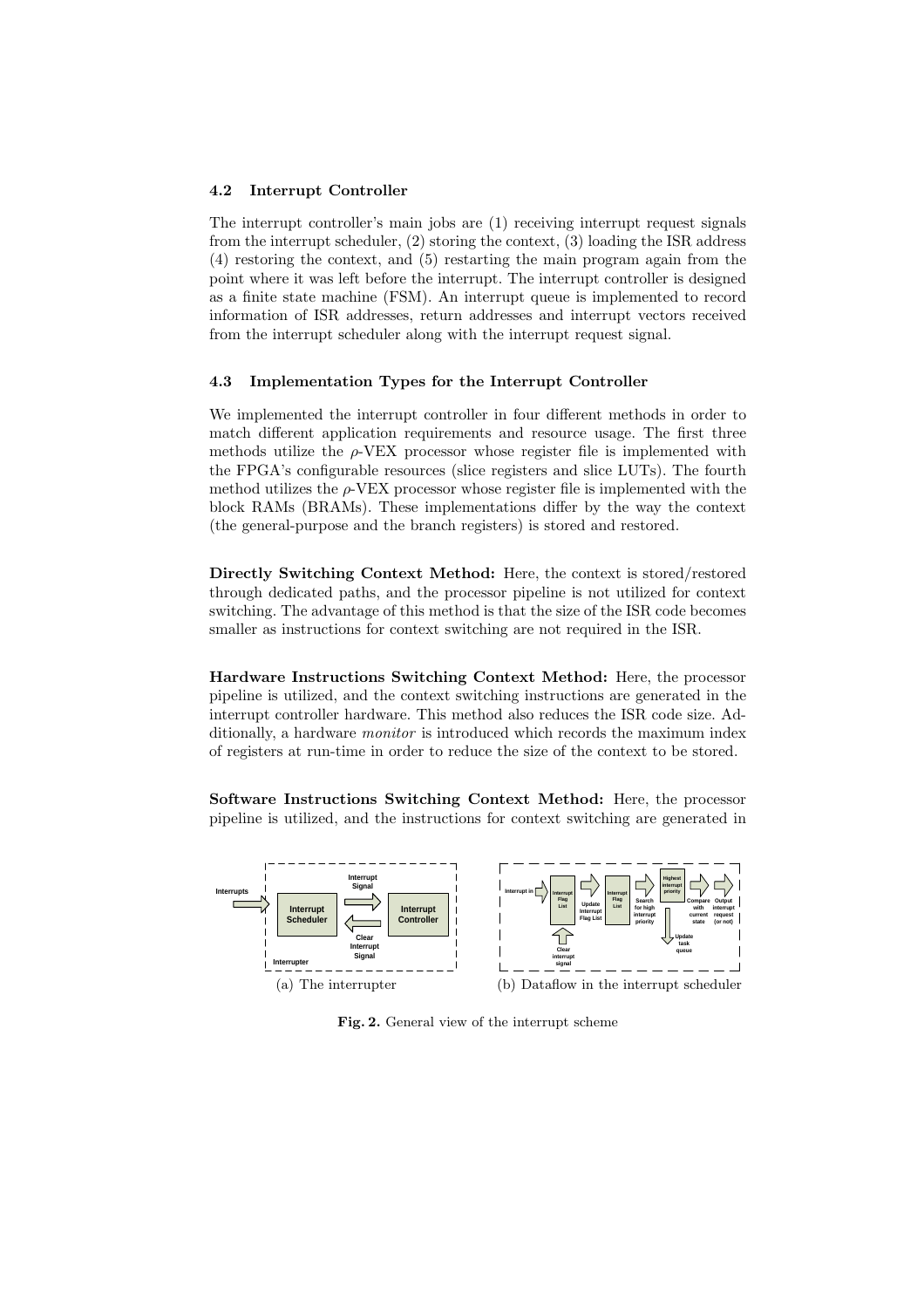#### 4.2 Interrupt Controller

The interrupt controller's main jobs are (1) receiving interrupt request signals from the interrupt scheduler, (2) storing the context, (3) loading the ISR address (4) restoring the context, and (5) restarting the main program again from the point where it was left before the interrupt. The interrupt controller is designed as a finite state machine (FSM). An interrupt queue is implemented to record information of ISR addresses, return addresses and interrupt vectors received from the interrupt scheduler along with the interrupt request signal.

#### 4.3 Implementation Types for the Interrupt Controller

We implemented the interrupt controller in four different methods in order to match different application requirements and resource usage. The first three methods utilize the  $\rho$ -VEX processor whose register file is implemented with the FPGA's configurable resources (slice registers and slice LUTs). The fourth method utilizes the  $\rho$ -VEX processor whose register file is implemented with the block RAMs (BRAMs). These implementations differ by the way the context (the general-purpose and the branch registers) is stored and restored.

Directly Switching Context Method: Here, the context is stored/restored through dedicated paths, and the processor pipeline is not utilized for context switching. The advantage of this method is that the size of the ISR code becomes smaller as instructions for context switching are not required in the ISR.

Hardware Instructions Switching Context Method: Here, the processor pipeline is utilized, and the context switching instructions are generated in the interrupt controller hardware. This method also reduces the ISR code size. Additionally, a hardware *monitor* is introduced which records the maximum index of registers at run-time in order to reduce the size of the context to be stored.

Software Instructions Switching Context Method: Here, the processor pipeline is utilized, and the instructions for context switching are generated in



Fig. 2. General view of the interrupt scheme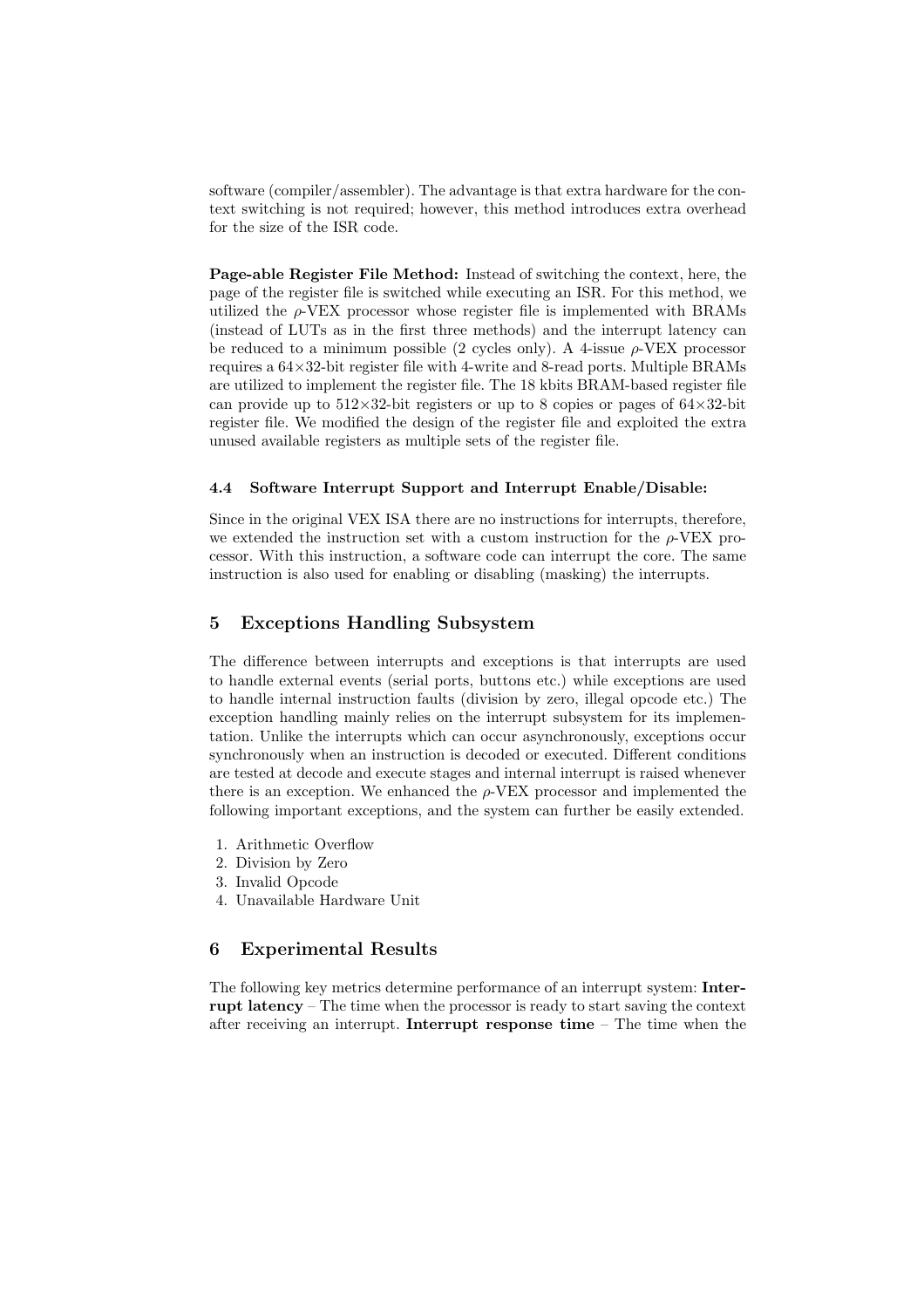software (compiler/assembler). The advantage is that extra hardware for the context switching is not required; however, this method introduces extra overhead for the size of the ISR code.

Page-able Register File Method: Instead of switching the context, here, the page of the register file is switched while executing an ISR. For this method, we utilized the  $\rho$ -VEX processor whose register file is implemented with BRAMs (instead of LUTs as in the first three methods) and the interrupt latency can be reduced to a minimum possible (2 cycles only). A 4-issue  $\rho$ -VEX processor requires a 64×32-bit register file with 4-write and 8-read ports. Multiple BRAMs are utilized to implement the register file. The 18 kbits BRAM-based register file can provide up to  $512\times32$ -bit registers or up to 8 copies or pages of  $64\times32$ -bit register file. We modified the design of the register file and exploited the extra unused available registers as multiple sets of the register file.

#### 4.4 Software Interrupt Support and Interrupt Enable/Disable:

Since in the original VEX ISA there are no instructions for interrupts, therefore, we extended the instruction set with a custom instruction for the  $\rho$ -VEX processor. With this instruction, a software code can interrupt the core. The same instruction is also used for enabling or disabling (masking) the interrupts.

### 5 Exceptions Handling Subsystem

The difference between interrupts and exceptions is that interrupts are used to handle external events (serial ports, buttons etc.) while exceptions are used to handle internal instruction faults (division by zero, illegal opcode etc.) The exception handling mainly relies on the interrupt subsystem for its implementation. Unlike the interrupts which can occur asynchronously, exceptions occur synchronously when an instruction is decoded or executed. Different conditions are tested at decode and execute stages and internal interrupt is raised whenever there is an exception. We enhanced the  $\rho$ -VEX processor and implemented the following important exceptions, and the system can further be easily extended.

- 1. Arithmetic Overflow
- 2. Division by Zero
- 3. Invalid Opcode
- 4. Unavailable Hardware Unit

### 6 Experimental Results

The following key metrics determine performance of an interrupt system: Interrupt latency – The time when the processor is ready to start saving the context after receiving an interrupt. Interrupt response time – The time when the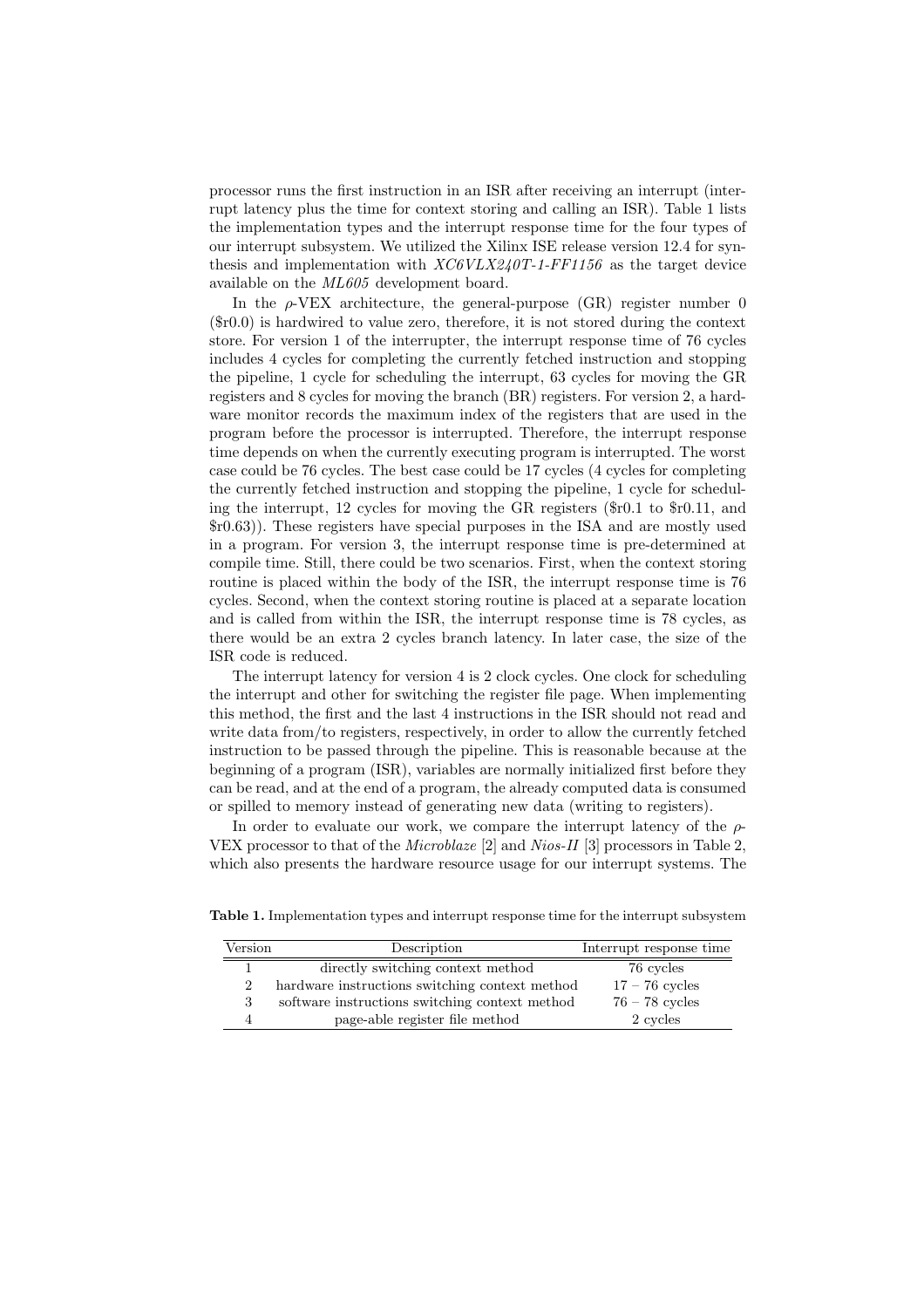processor runs the first instruction in an ISR after receiving an interrupt (interrupt latency plus the time for context storing and calling an ISR). Table 1 lists the implementation types and the interrupt response time for the four types of our interrupt subsystem. We utilized the Xilinx ISE release version 12.4 for synthesis and implementation with  $XCGVLX240T-1-FF1156$  as the target device available on the ML605 development board.

In the  $\rho$ -VEX architecture, the general-purpose (GR) register number 0 (\$r0.0) is hardwired to value zero, therefore, it is not stored during the context store. For version 1 of the interrupter, the interrupt response time of 76 cycles includes 4 cycles for completing the currently fetched instruction and stopping the pipeline, 1 cycle for scheduling the interrupt, 63 cycles for moving the GR registers and 8 cycles for moving the branch (BR) registers. For version 2, a hardware monitor records the maximum index of the registers that are used in the program before the processor is interrupted. Therefore, the interrupt response time depends on when the currently executing program is interrupted. The worst case could be 76 cycles. The best case could be 17 cycles (4 cycles for completing the currently fetched instruction and stopping the pipeline, 1 cycle for scheduling the interrupt, 12 cycles for moving the GR registers (\$r0.1 to \$r0.11, and \$r0.63)). These registers have special purposes in the ISA and are mostly used in a program. For version 3, the interrupt response time is pre-determined at compile time. Still, there could be two scenarios. First, when the context storing routine is placed within the body of the ISR, the interrupt response time is 76 cycles. Second, when the context storing routine is placed at a separate location and is called from within the ISR, the interrupt response time is 78 cycles, as there would be an extra 2 cycles branch latency. In later case, the size of the ISR code is reduced.

The interrupt latency for version 4 is 2 clock cycles. One clock for scheduling the interrupt and other for switching the register file page. When implementing this method, the first and the last 4 instructions in the ISR should not read and write data from/to registers, respectively, in order to allow the currently fetched instruction to be passed through the pipeline. This is reasonable because at the beginning of a program (ISR), variables are normally initialized first before they can be read, and at the end of a program, the already computed data is consumed or spilled to memory instead of generating new data (writing to registers).

In order to evaluate our work, we compare the interrupt latency of the  $\rho$ -VEX processor to that of the Microblaze [2] and Nios-II [3] processors in Table 2, which also presents the hardware resource usage for our interrupt systems. The

| Version        | Description                                    | Interrupt response time |
|----------------|------------------------------------------------|-------------------------|
|                | directly switching context method              | 76 cycles               |
| $\overline{2}$ | hardware instructions switching context method | $17 - 76$ cycles        |
| 3              | software instructions switching context method | $76 - 78$ cycles        |
|                | page-able register file method                 | 2 cycles                |

Table 1. Implementation types and interrupt response time for the interrupt subsystem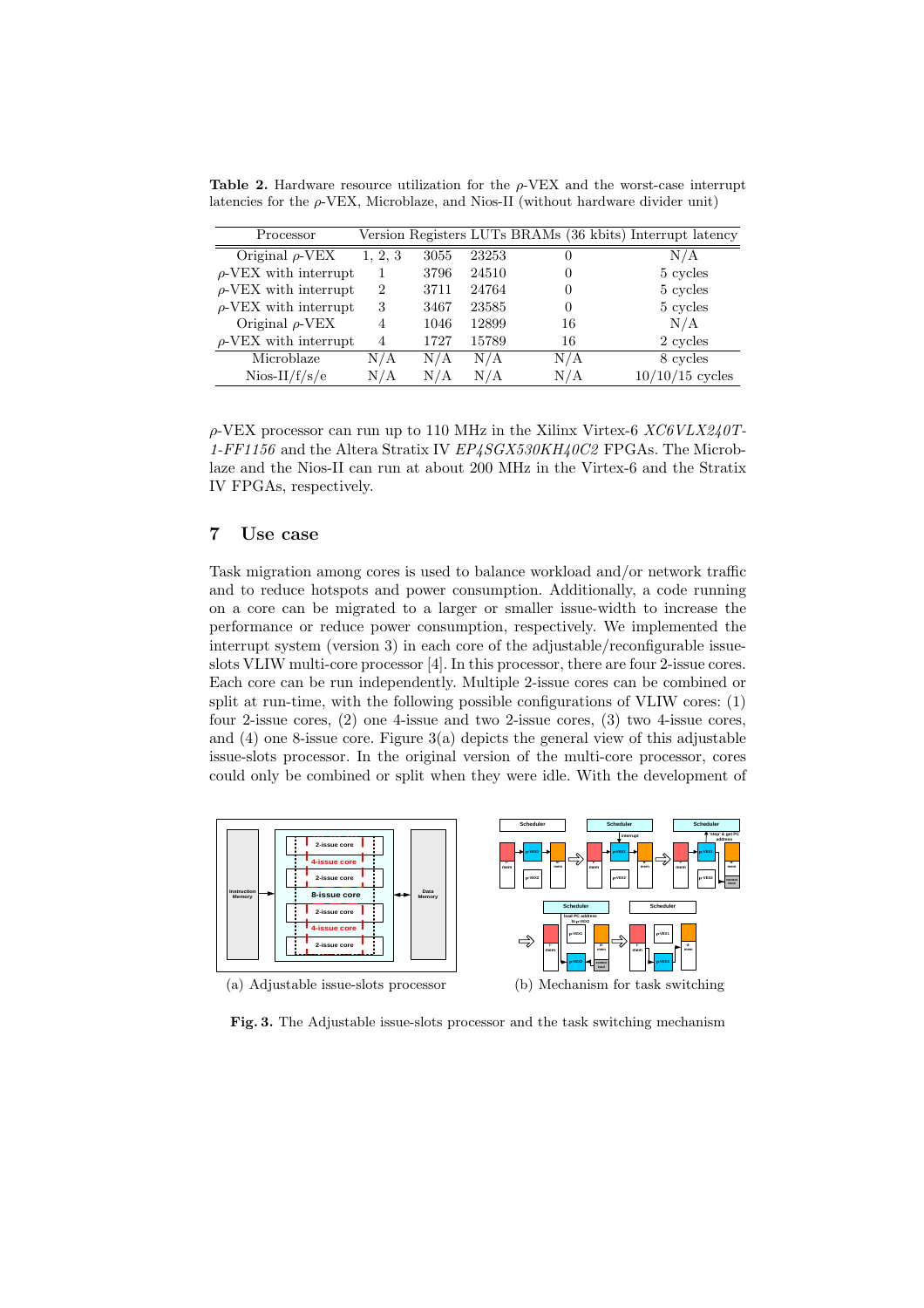Table 2. Hardware resource utilization for the  $\rho$ -VEX and the worst-case interrupt latencies for the ρ-VEX, Microblaze, and Nios-II (without hardware divider unit)

| Processor                  |         |      |       | Version Registers LUTs BRAMs (36 kbits) Interrupt latency |                   |
|----------------------------|---------|------|-------|-----------------------------------------------------------|-------------------|
| Original $\rho$ -VEX       | 1, 2, 3 | 3055 | 23253 | $\theta$                                                  | N/A               |
| $\rho$ -VEX with interrupt |         | 3796 | 24510 | $\theta$                                                  | 5 cycles          |
| $\rho$ -VEX with interrupt | 2       | 3711 | 24764 | $\theta$                                                  | 5 cycles          |
| $\rho$ -VEX with interrupt | 3       | 3467 | 23585 | $\theta$                                                  | 5 cycles          |
| Original $\rho$ -VEX       | 4       | 1046 | 12899 | 16                                                        | N/A               |
| $\rho$ -VEX with interrupt | 4       | 1727 | 15789 | 16                                                        | 2 cycles          |
| Microblaze                 | N/A     | N/A  | N/A   | N/A                                                       | 8 cycles          |
| $Nios-II/f/s/e$            | N/A     | N/A  | N/A   | N/A                                                       | $10/10/15$ cycles |

 $\rho$ -VEX processor can run up to 110 MHz in the Xilinx Virtex-6 XC6VLX240T-1-FF1156 and the Altera Stratix IV  $EP<sub>4</sub>SGX530KH<sub>4</sub>0C2$  FPGAs. The Microblaze and the Nios-II can run at about 200 MHz in the Virtex-6 and the Stratix IV FPGAs, respectively.

# 7 Use case

Task migration among cores is used to balance workload and/or network traffic and to reduce hotspots and power consumption. Additionally, a code running on a core can be migrated to a larger or smaller issue-width to increase the performance or reduce power consumption, respectively. We implemented the interrupt system (version 3) in each core of the adjustable/reconfigurable issueslots VLIW multi-core processor [4]. In this processor, there are four 2-issue cores. Each core can be run independently. Multiple 2-issue cores can be combined or split at run-time, with the following possible configurations of VLIW cores: (1) four 2-issue cores, (2) one 4-issue and two 2-issue cores, (3) two 4-issue cores, and (4) one 8-issue core. Figure 3(a) depicts the general view of this adjustable issue-slots processor. In the original version of the multi-core processor, cores could only be combined or split when they were idle. With the development of



Fig. 3. The Adjustable issue-slots processor and the task switching mechanism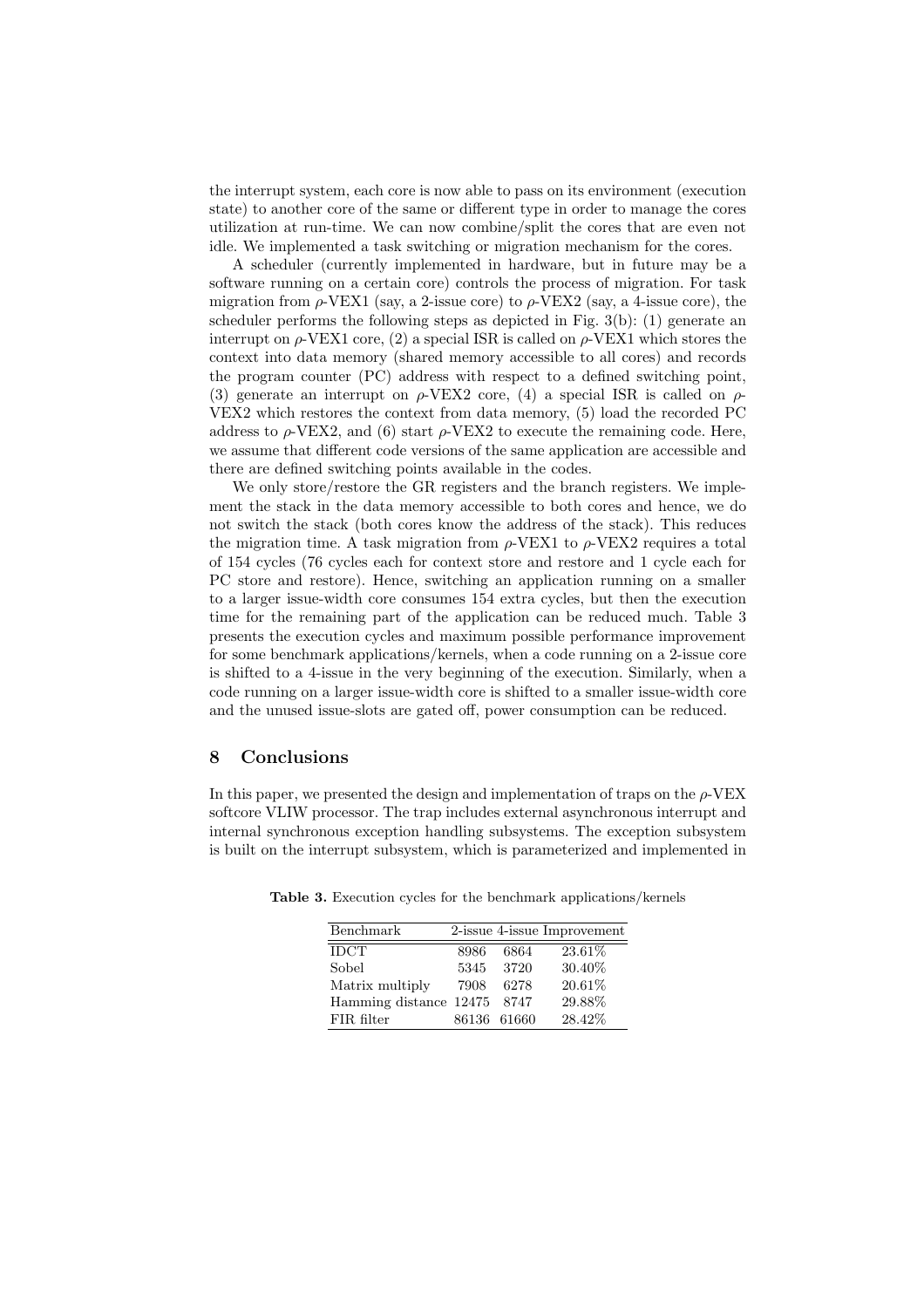the interrupt system, each core is now able to pass on its environment (execution state) to another core of the same or different type in order to manage the cores utilization at run-time. We can now combine/split the cores that are even not idle. We implemented a task switching or migration mechanism for the cores.

A scheduler (currently implemented in hardware, but in future may be a software running on a certain core) controls the process of migration. For task migration from  $\rho$ -VEX1 (say, a 2-issue core) to  $\rho$ -VEX2 (say, a 4-issue core), the scheduler performs the following steps as depicted in Fig.  $3(b)$ : (1) generate an interrupt on  $\rho$ -VEX1 core, (2) a special ISR is called on  $\rho$ -VEX1 which stores the context into data memory (shared memory accessible to all cores) and records the program counter (PC) address with respect to a defined switching point, (3) generate an interrupt on  $\rho$ -VEX2 core, (4) a special ISR is called on  $\rho$ -VEX2 which restores the context from data memory, (5) load the recorded PC address to  $\rho$ -VEX2, and (6) start  $\rho$ -VEX2 to execute the remaining code. Here, we assume that different code versions of the same application are accessible and there are defined switching points available in the codes.

We only store/restore the GR registers and the branch registers. We implement the stack in the data memory accessible to both cores and hence, we do not switch the stack (both cores know the address of the stack). This reduces the migration time. A task migration from  $\rho$ -VEX1 to  $\rho$ -VEX2 requires a total of 154 cycles (76 cycles each for context store and restore and 1 cycle each for PC store and restore). Hence, switching an application running on a smaller to a larger issue-width core consumes 154 extra cycles, but then the execution time for the remaining part of the application can be reduced much. Table 3 presents the execution cycles and maximum possible performance improvement for some benchmark applications/kernels, when a code running on a 2-issue core is shifted to a 4-issue in the very beginning of the execution. Similarly, when a code running on a larger issue-width core is shifted to a smaller issue-width core and the unused issue-slots are gated off, power consumption can be reduced.

### 8 Conclusions

In this paper, we presented the design and implementation of traps on the  $\rho$ -VEX softcore VLIW processor. The trap includes external asynchronous interrupt and internal synchronous exception handling subsystems. The exception subsystem is built on the interrupt subsystem, which is parameterized and implemented in

| Benchmark                   |      |             | 2-issue 4-issue Improvement |
|-----------------------------|------|-------------|-----------------------------|
| <b>IDCT</b>                 | 8986 | 6864        | 23.61%                      |
| Sobel                       | 5345 | 3720        | 30.40%                      |
| Matrix multiply             | 7908 | 6278        | 20.61%                      |
| Hamming distance 12475 8747 |      |             | 29.88%                      |
| FIR filter                  |      | 86136 61660 | 28.42%                      |

Table 3. Execution cycles for the benchmark applications/kernels